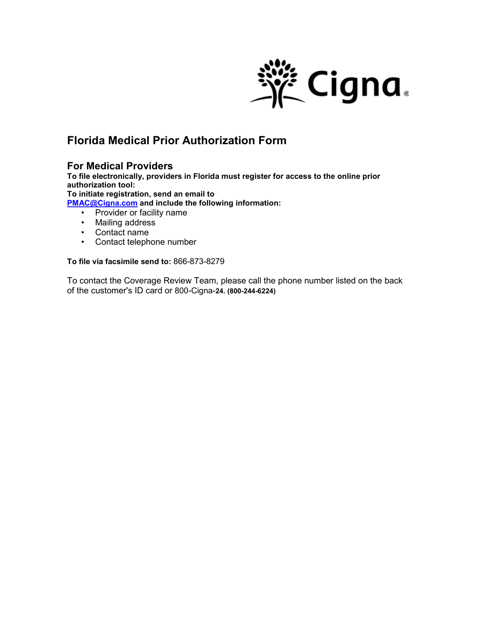

# **Florida Medical Prior Authorization Form**

### **For Medical Providers**

**To file electronically, providers in Florida must register for access to the online prior authorization tool:**

**To initiate registration, send an email to** 

**[PMAC@Cigna.com](mailto:PMAC@Cigna.com) and include the following information:**

- Provider or facility name
- Mailing address
- Contact name
- Contact telephone number

#### **To file via facsimile send to:** 866-873-8279

To contact the Coverage Review Team, please call the phone number listed on the back of the customer's ID card or 800-Cigna-**24. (800-244-6224)**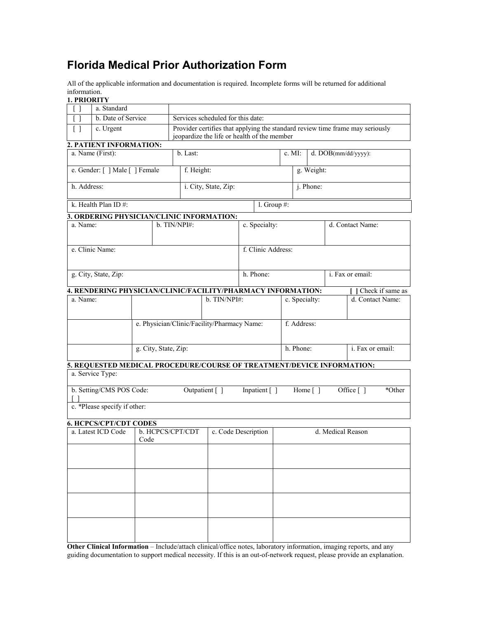# **Florida Medical Prior Authorization Form**

All of the applicable information and documentation is required. Incomplete forms will be returned for additional information.

**1. PRIORITY**

|                                | a. Standard                                                            |  |  |                                             |                                             |  |                     |                   |                                                                               |  |                     |                  |                     |
|--------------------------------|------------------------------------------------------------------------|--|--|---------------------------------------------|---------------------------------------------|--|---------------------|-------------------|-------------------------------------------------------------------------------|--|---------------------|------------------|---------------------|
|                                | b. Date of Service                                                     |  |  | Services scheduled for this date:           |                                             |  |                     |                   |                                                                               |  |                     |                  |                     |
| Γl                             | c. Urgent                                                              |  |  | jeopardize the life or health of the member |                                             |  |                     |                   | Provider certifies that applying the standard review time frame may seriously |  |                     |                  |                     |
|                                | 2. PATIENT INFORMATION:                                                |  |  |                                             |                                             |  |                     |                   |                                                                               |  |                     |                  |                     |
| a. Name (First):               |                                                                        |  |  | b. Last:                                    |                                             |  |                     |                   | c. MI:                                                                        |  | d. DOB(mm/dd/yyyy): |                  |                     |
| e. Gender: [ ] Male [ ] Female |                                                                        |  |  | f. Height:                                  |                                             |  |                     | g. Weight:        |                                                                               |  |                     |                  |                     |
| h. Address:                    |                                                                        |  |  | i. City, State, Zip:                        |                                             |  |                     |                   | j. Phone:                                                                     |  |                     |                  |                     |
|                                | k. Health Plan ID#:                                                    |  |  |                                             |                                             |  | 1. Group $#$ :      |                   |                                                                               |  |                     |                  |                     |
|                                | 3. ORDERING PHYSICIAN/CLINIC INFORMATION:                              |  |  |                                             |                                             |  |                     |                   |                                                                               |  |                     |                  |                     |
|                                | a. Name:                                                               |  |  | b. TIN/NPI#:                                |                                             |  | c. Specialty:       |                   |                                                                               |  | d. Contact Name:    |                  |                     |
| e. Clinic Name:                |                                                                        |  |  |                                             |                                             |  | f. Clinic Address:  |                   |                                                                               |  |                     |                  |                     |
|                                | g. City, State, Zip:                                                   |  |  |                                             |                                             |  | h. Phone:           |                   |                                                                               |  |                     |                  | i. Fax or email:    |
|                                | 4. RENDERING PHYSICIAN/CLINIC/FACILITY/PHARMACY INFORMATION:           |  |  |                                             |                                             |  |                     |                   |                                                                               |  |                     |                  | Check if same as    |
|                                | a. Name:                                                               |  |  | b. TIN/NPI#:                                |                                             |  |                     | c. Specialty:     |                                                                               |  |                     | d. Contact Name: |                     |
|                                |                                                                        |  |  |                                             | e. Physician/Clinic/Facility/Pharmacy Name: |  |                     |                   | f. Address:                                                                   |  |                     |                  |                     |
|                                |                                                                        |  |  | g. City, State, Zip:                        |                                             |  |                     |                   | h. Phone:                                                                     |  |                     |                  | i. Fax or email:    |
|                                | 5. REQUESTED MEDICAL PROCEDURE/COURSE OF TREATMENT/DEVICE INFORMATION: |  |  |                                             |                                             |  |                     |                   |                                                                               |  |                     |                  |                     |
|                                | a. Service Type:                                                       |  |  |                                             |                                             |  |                     |                   |                                                                               |  |                     |                  |                     |
| b. Setting/CMS POS Code:       |                                                                        |  |  | Outpatient []<br>Inpatient []               |                                             |  |                     |                   | Home $\lceil$ 1                                                               |  |                     |                  | Office []<br>*Other |
|                                | c. *Please specify if other:                                           |  |  |                                             |                                             |  |                     |                   |                                                                               |  |                     |                  |                     |
|                                | <b>6. HCPCS/CPT/CDT CODES</b>                                          |  |  |                                             |                                             |  |                     |                   |                                                                               |  |                     |                  |                     |
| a. Latest ICD Code<br>Code     |                                                                        |  |  | b. HCPCS/CPT/CDT                            |                                             |  | c. Code Description | d. Medical Reason |                                                                               |  |                     |                  |                     |
|                                |                                                                        |  |  |                                             |                                             |  |                     |                   |                                                                               |  |                     |                  |                     |
|                                |                                                                        |  |  |                                             |                                             |  |                     |                   |                                                                               |  |                     |                  |                     |
|                                |                                                                        |  |  |                                             |                                             |  |                     |                   |                                                                               |  |                     |                  |                     |
|                                |                                                                        |  |  |                                             |                                             |  |                     |                   |                                                                               |  |                     |                  |                     |
|                                |                                                                        |  |  |                                             |                                             |  |                     |                   |                                                                               |  |                     |                  |                     |
|                                |                                                                        |  |  |                                             |                                             |  |                     |                   |                                                                               |  |                     |                  |                     |

**Other Clinical Information** – Include/attach clinical/office notes, laboratory information, imaging reports, and any guiding documentation to support medical necessity. If this is an out-of-network request, please provide an explanation.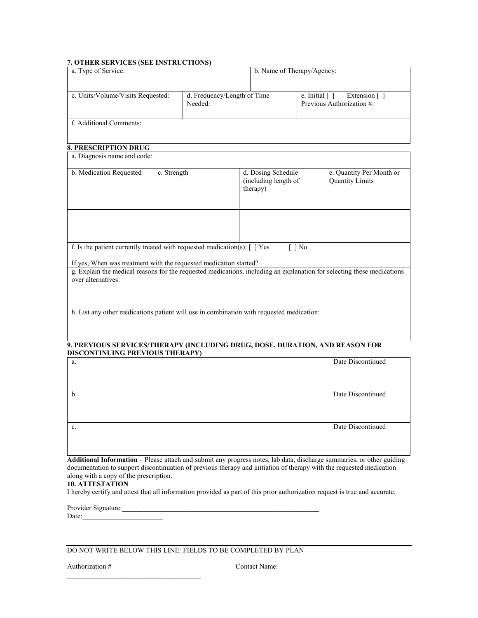#### **7. OTHER SERVICES (SEE INSTRUCTIONS)**

| a. Type of Service:                                                                                                                                                                      |             |                                        |                                                        | b. Name of Therapy/Agency: |                                                                                                                        |  |  |  |  |  |
|------------------------------------------------------------------------------------------------------------------------------------------------------------------------------------------|-------------|----------------------------------------|--------------------------------------------------------|----------------------------|------------------------------------------------------------------------------------------------------------------------|--|--|--|--|--|
| c. Units/Volume/Visits Requested:                                                                                                                                                        |             | d. Frequency/Length of Time<br>Needed: |                                                        | e. Initial $[ ]$           | Extension []<br>Previous Authorization #:                                                                              |  |  |  |  |  |
| f. Additional Comments:                                                                                                                                                                  |             |                                        |                                                        |                            |                                                                                                                        |  |  |  |  |  |
| <b>8. PRESCRIPTION DRUG</b>                                                                                                                                                              |             |                                        |                                                        |                            |                                                                                                                        |  |  |  |  |  |
| a. Diagnosis name and code:                                                                                                                                                              |             |                                        |                                                        |                            |                                                                                                                        |  |  |  |  |  |
| b. Medication Requested                                                                                                                                                                  | c. Strength |                                        | d. Dosing Schedule<br>(including length of<br>therapy) |                            | e. Quantity Per Month or<br><b>Quantity Limits</b>                                                                     |  |  |  |  |  |
|                                                                                                                                                                                          |             |                                        |                                                        |                            |                                                                                                                        |  |  |  |  |  |
| f. Is the patient currently treated with requested medication(s): $\lceil \ \rceil$ Yes<br>If yes, When was treatment with the requested medication started?<br>over alternatives:       |             |                                        |                                                        | $\lceil \ \rceil$ No       | g. Explain the medical reasons for the requested medications, including an explanation for selecting these medications |  |  |  |  |  |
| h. List any other medications patient will use in combination with requested medication:                                                                                                 |             |                                        |                                                        |                            |                                                                                                                        |  |  |  |  |  |
| 9. PREVIOUS SERVICES/THERAPY (INCLUDING DRUG, DOSE, DURATION, AND REASON FOR<br>DISCONTINUING PREVIOUS THERAPY)                                                                          |             |                                        |                                                        |                            |                                                                                                                        |  |  |  |  |  |
| a.                                                                                                                                                                                       |             |                                        |                                                        |                            | Date Discontinued                                                                                                      |  |  |  |  |  |
| $\mathbf{b}$ .                                                                                                                                                                           |             |                                        |                                                        |                            | Date Discontinued                                                                                                      |  |  |  |  |  |
| c.                                                                                                                                                                                       |             |                                        |                                                        |                            | Date Discontinued                                                                                                      |  |  |  |  |  |
| documentation to support discontinuation of previous therapy and initiation of therapy with the requested medication<br>along with a copy of the prescription.<br><b>10. ATTESTATION</b> |             |                                        |                                                        |                            | Additional Information - Please attach and submit any progress notes, lab data, discharge summaries, or other guiding  |  |  |  |  |  |

I hereby certify and attest that all information provided as part of this prior authorization request is true and accurate.

| Provider Signature: |  |
|---------------------|--|
| Date:               |  |

#### DO NOT WRITE BELOW THIS LINE: FIELDS TO BE COMPLETED BY PLAN

Authorization #\_\_\_\_\_\_\_\_\_\_\_\_\_\_\_\_\_\_\_\_\_\_\_\_\_\_\_\_\_\_\_\_\_\_ Contact Name:

\_\_\_\_\_\_\_\_\_\_\_\_\_\_\_\_\_\_\_\_\_\_\_\_\_\_\_\_\_\_\_\_\_\_\_\_\_\_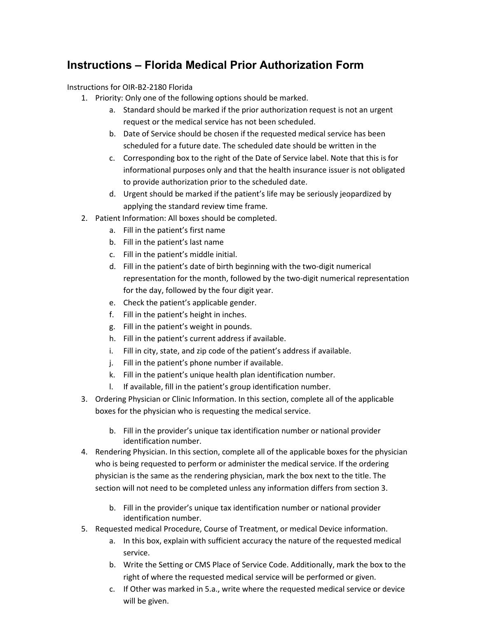# **Instructions – Florida Medical Prior Authorization Form**

Instructions for OIR-B2-2180 Florida

- 1. Priority: Only one of the following options should be marked.
	- a. Standard should be marked if the prior authorization request is not an urgent request or the medical service has not been scheduled.
	- b. Date of Service should be chosen if the requested medical service has been scheduled for a future date. The scheduled date should be written in the
	- c. Corresponding box to the right of the Date of Service label. Note that this is for informational purposes only and that the health insurance issuer is not obligated to provide authorization prior to the scheduled date.
	- d. Urgent should be marked if the patient's life may be seriously jeopardized by applying the standard review time frame.
- 2. Patient Information: All boxes should be completed.
	- a. Fill in the patient's first name
	- b. Fill in the patient's last name
	- c. Fill in the patient's middle initial.
	- d. Fill in the patient's date of birth beginning with the two-digit numerical representation for the month, followed by the two-digit numerical representation for the day, followed by the four digit year.
	- e. Check the patient's applicable gender.
	- f. Fill in the patient's height in inches.
	- g. Fill in the patient's weight in pounds.
	- h. Fill in the patient's current address if available.
	- i. Fill in city, state, and zip code of the patient's address if available.
	- j. Fill in the patient's phone number if available.
	- k. Fill in the patient's unique health plan identification number.
	- l. If available, fill in the patient's group identification number.
- 3. Ordering Physician or Clinic Information. In this section, complete all of the applicable boxes for the physician who is requesting the medical service.
	- b. Fill in the provider's unique tax identification number or national provider identification number.
- 4. Rendering Physician. In this section, complete all of the applicable boxes for the physician who is being requested to perform or administer the medical service. If the ordering physician is the same as the rendering physician, mark the box next to the title. The section will not need to be completed unless any information differs from section 3.
	- b. Fill in the provider's unique tax identification number or national provider identification number.
- 5. Requested medical Procedure, Course of Treatment, or medical Device information.
	- a. In this box, explain with sufficient accuracy the nature of the requested medical service.
	- b. Write the Setting or CMS Place of Service Code. Additionally, mark the box to the right of where the requested medical service will be performed or given.
	- c. If Other was marked in 5.a., write where the requested medical service or device will be given.